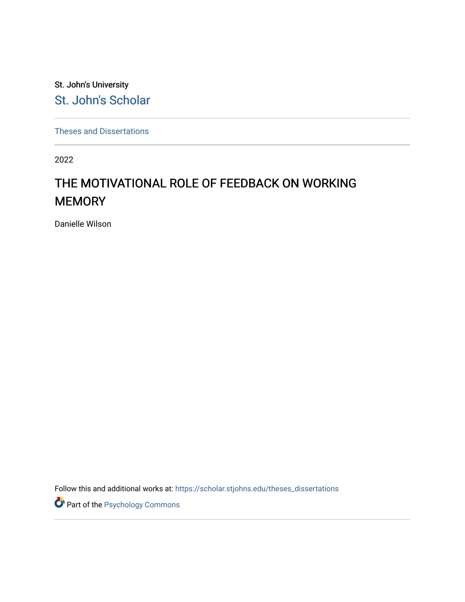St. John's University [St. John's Scholar](https://scholar.stjohns.edu/) 

[Theses and Dissertations](https://scholar.stjohns.edu/theses_dissertations)

2022

# THE MOTIVATIONAL ROLE OF FEEDBACK ON WORKING **MEMORY**

Danielle Wilson

Follow this and additional works at: [https://scholar.stjohns.edu/theses\\_dissertations](https://scholar.stjohns.edu/theses_dissertations?utm_source=scholar.stjohns.edu%2Ftheses_dissertations%2F387&utm_medium=PDF&utm_campaign=PDFCoverPages)

Part of the [Psychology Commons](https://network.bepress.com/hgg/discipline/404?utm_source=scholar.stjohns.edu%2Ftheses_dissertations%2F387&utm_medium=PDF&utm_campaign=PDFCoverPages)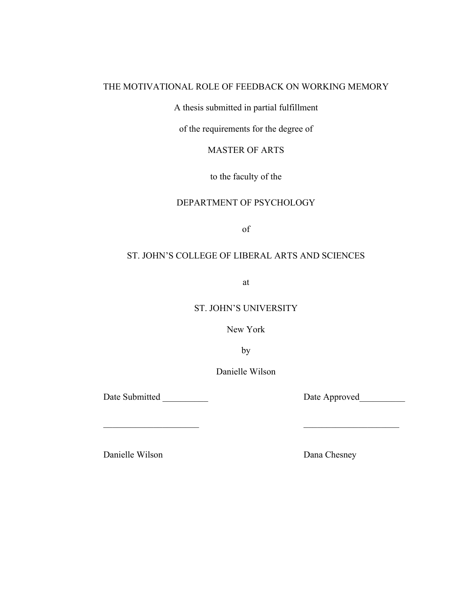# THE MOTIVATIONAL ROLE OF FEEDBACK ON WORKING MEMORY

A thesis submitted in partial fulfillment

of the requirements for the degree of

MASTER OF ARTS

to the faculty of the

# DEPARTMENT OF PSYCHOLOGY

of

# ST. JOHN'S COLLEGE OF LIBERAL ARTS AND SCIENCES

at

ST. JOHN'S UNIVERSITY

New York

by

Danielle Wilson

 $\mathcal{L}_\mathcal{L} = \mathcal{L}_\mathcal{L} = \mathcal{L}_\mathcal{L} = \mathcal{L}_\mathcal{L} = \mathcal{L}_\mathcal{L} = \mathcal{L}_\mathcal{L} = \mathcal{L}_\mathcal{L} = \mathcal{L}_\mathcal{L} = \mathcal{L}_\mathcal{L} = \mathcal{L}_\mathcal{L} = \mathcal{L}_\mathcal{L} = \mathcal{L}_\mathcal{L} = \mathcal{L}_\mathcal{L} = \mathcal{L}_\mathcal{L} = \mathcal{L}_\mathcal{L} = \mathcal{L}_\mathcal{L} = \mathcal{L}_\mathcal{L}$ 

Date Submitted Date Approved

Danielle Wilson Dana Chesney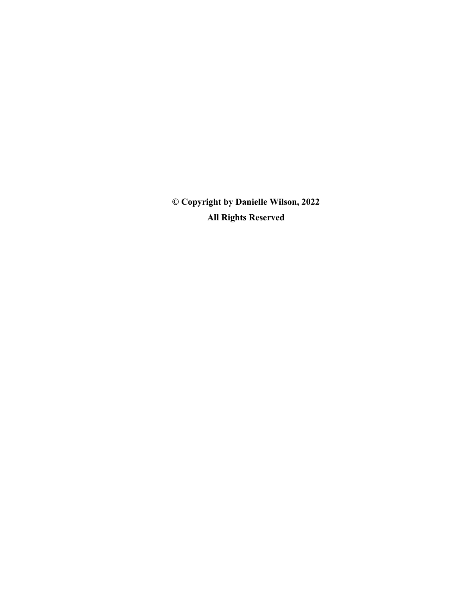**© Copyright by Danielle Wilson, 2022 All Rights Reserved**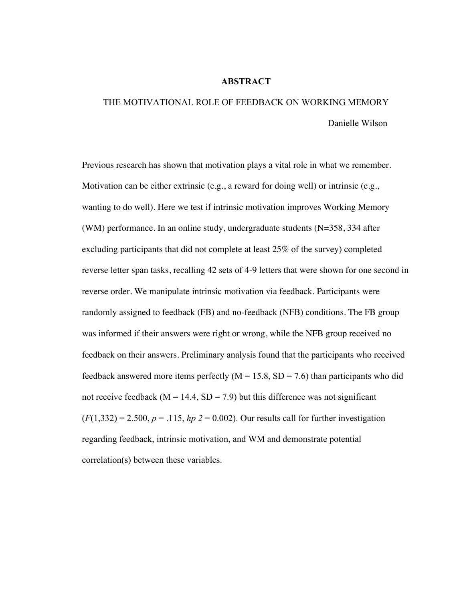### **ABSTRACT**

# THE MOTIVATIONAL ROLE OF FEEDBACK ON WORKING MEMORY Danielle Wilson

Previous research has shown that motivation plays a vital role in what we remember. Motivation can be either extrinsic (e.g., a reward for doing well) or intrinsic (e.g., wanting to do well). Here we test if intrinsic motivation improves Working Memory (WM) performance. In an online study, undergraduate students (N=358, 334 after excluding participants that did not complete at least 25% of the survey) completed reverse letter span tasks, recalling 42 sets of 4-9 letters that were shown for one second in reverse order. We manipulate intrinsic motivation via feedback. Participants were randomly assigned to feedback (FB) and no-feedback (NFB) conditions. The FB group was informed if their answers were right or wrong, while the NFB group received no feedback on their answers. Preliminary analysis found that the participants who received feedback answered more items perfectly  $(M = 15.8, SD = 7.6)$  than participants who did not receive feedback ( $M = 14.4$ ,  $SD = 7.9$ ) but this difference was not significant  $(F(1,332) = 2.500, p = .115, hp$  *2* = 0.002). Our results call for further investigation regarding feedback, intrinsic motivation, and WM and demonstrate potential correlation(s) between these variables.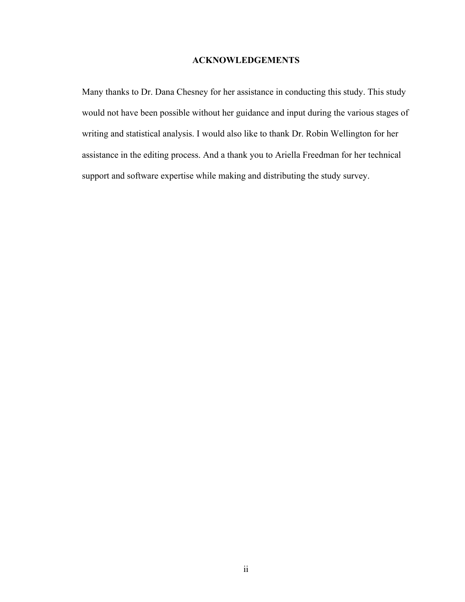# **ACKNOWLEDGEMENTS**

Many thanks to Dr. Dana Chesney for her assistance in conducting this study. This study would not have been possible without her guidance and input during the various stages of writing and statistical analysis. I would also like to thank Dr. Robin Wellington for her assistance in the editing process. And a thank you to Ariella Freedman for her technical support and software expertise while making and distributing the study survey.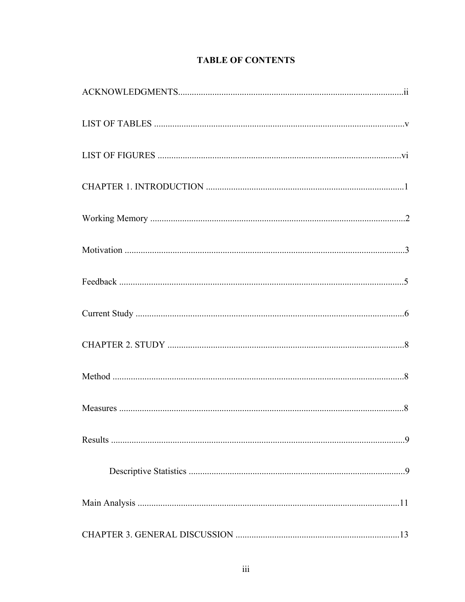# **TABLE OF CONTENTS**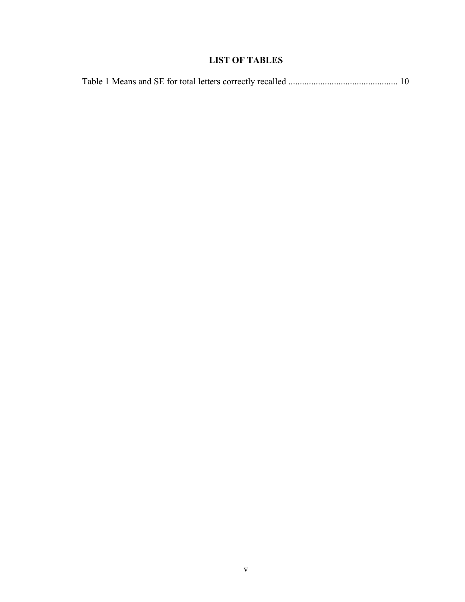# **LIST OF TABLES**

|--|--|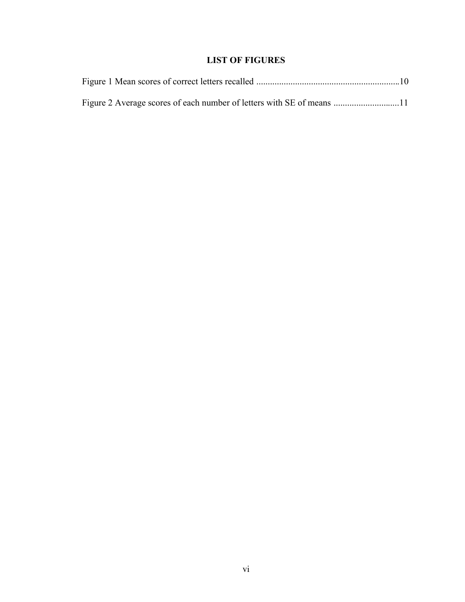# **LIST OF FIGURES**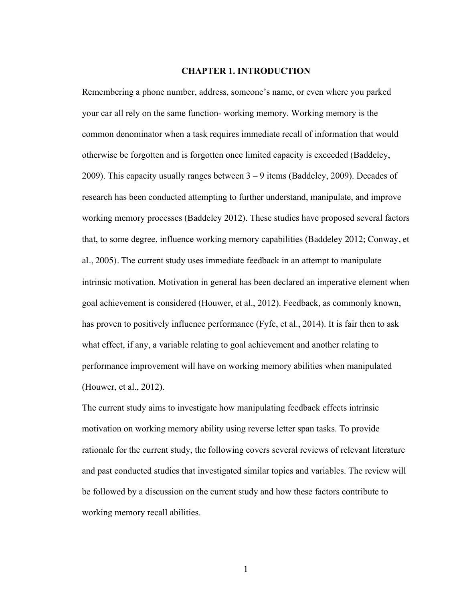## **CHAPTER 1. INTRODUCTION**

Remembering a phone number, address, someone's name, or even where you parked your car all rely on the same function- working memory. Working memory is the common denominator when a task requires immediate recall of information that would otherwise be forgotten and is forgotten once limited capacity is exceeded (Baddeley, 2009). This capacity usually ranges between  $3 - 9$  items (Baddeley, 2009). Decades of research has been conducted attempting to further understand, manipulate, and improve working memory processes (Baddeley 2012). These studies have proposed several factors that, to some degree, influence working memory capabilities (Baddeley 2012; Conway, et al., 2005). The current study uses immediate feedback in an attempt to manipulate intrinsic motivation. Motivation in general has been declared an imperative element when goal achievement is considered (Houwer, et al., 2012). Feedback, as commonly known, has proven to positively influence performance (Fyfe, et al., 2014). It is fair then to ask what effect, if any, a variable relating to goal achievement and another relating to performance improvement will have on working memory abilities when manipulated (Houwer, et al., 2012).

The current study aims to investigate how manipulating feedback effects intrinsic motivation on working memory ability using reverse letter span tasks. To provide rationale for the current study, the following covers several reviews of relevant literature and past conducted studies that investigated similar topics and variables. The review will be followed by a discussion on the current study and how these factors contribute to working memory recall abilities.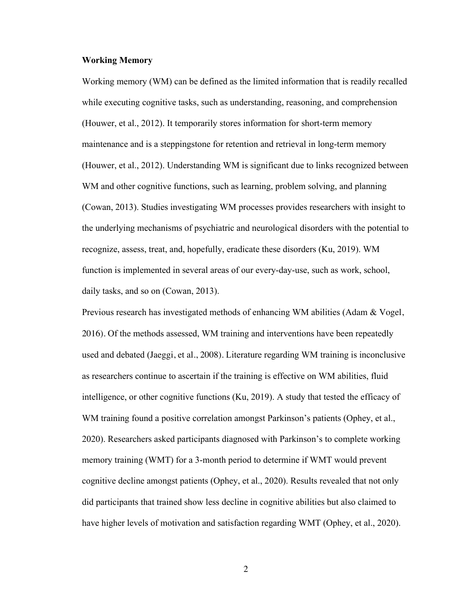# **Working Memory**

Working memory (WM) can be defined as the limited information that is readily recalled while executing cognitive tasks, such as understanding, reasoning, and comprehension (Houwer, et al., 2012). It temporarily stores information for short-term memory maintenance and is a steppingstone for retention and retrieval in long-term memory (Houwer, et al., 2012). Understanding WM is significant due to links recognized between WM and other cognitive functions, such as learning, problem solving, and planning (Cowan, 2013). Studies investigating WM processes provides researchers with insight to the underlying mechanisms of psychiatric and neurological disorders with the potential to recognize, assess, treat, and, hopefully, eradicate these disorders (Ku, 2019). WM function is implemented in several areas of our every-day-use, such as work, school, daily tasks, and so on (Cowan, 2013).

Previous research has investigated methods of enhancing WM abilities (Adam & Vogel, 2016). Of the methods assessed, WM training and interventions have been repeatedly used and debated (Jaeggi, et al., 2008). Literature regarding WM training is inconclusive as researchers continue to ascertain if the training is effective on WM abilities, fluid intelligence, or other cognitive functions (Ku, 2019). A study that tested the efficacy of WM training found a positive correlation amongst Parkinson's patients (Ophey, et al., 2020). Researchers asked participants diagnosed with Parkinson's to complete working memory training (WMT) for a 3-month period to determine if WMT would prevent cognitive decline amongst patients (Ophey, et al., 2020). Results revealed that not only did participants that trained show less decline in cognitive abilities but also claimed to have higher levels of motivation and satisfaction regarding WMT (Ophey, et al., 2020).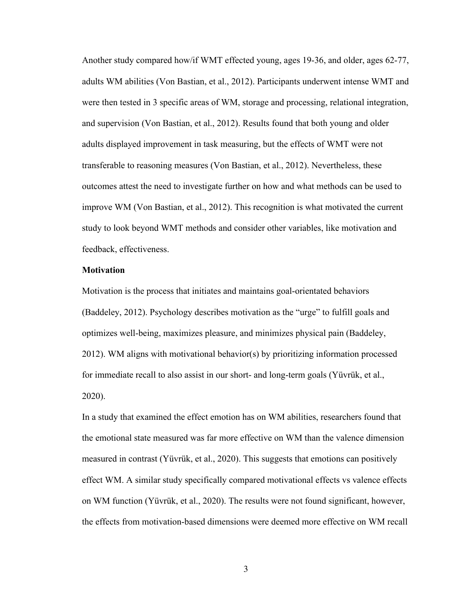Another study compared how/if WMT effected young, ages 19-36, and older, ages 62-77, adults WM abilities (Von Bastian, et al., 2012). Participants underwent intense WMT and were then tested in 3 specific areas of WM, storage and processing, relational integration, and supervision (Von Bastian, et al., 2012). Results found that both young and older adults displayed improvement in task measuring, but the effects of WMT were not transferable to reasoning measures (Von Bastian, et al., 2012). Nevertheless, these outcomes attest the need to investigate further on how and what methods can be used to improve WM (Von Bastian, et al., 2012). This recognition is what motivated the current study to look beyond WMT methods and consider other variables, like motivation and feedback, effectiveness.

#### **Motivation**

Motivation is the process that initiates and maintains goal-orientated behaviors (Baddeley, 2012). Psychology describes motivation as the "urge" to fulfill goals and optimizes well-being, maximizes pleasure, and minimizes physical pain (Baddeley, 2012). WM aligns with motivational behavior(s) by prioritizing information processed for immediate recall to also assist in our short- and long-term goals (Yüvrük, et al., 2020).

In a study that examined the effect emotion has on WM abilities, researchers found that the emotional state measured was far more effective on WM than the valence dimension measured in contrast (Yüvrük, et al., 2020). This suggests that emotions can positively effect WM. A similar study specifically compared motivational effects vs valence effects on WM function (Yüvrük, et al., 2020). The results were not found significant, however, the effects from motivation-based dimensions were deemed more effective on WM recall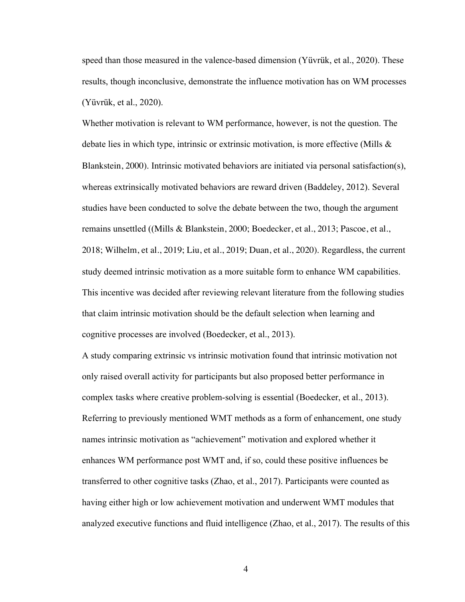speed than those measured in the valence-based dimension (Yüvrük, et al., 2020). These results, though inconclusive, demonstrate the influence motivation has on WM processes (Yüvrük, et al., 2020).

Whether motivation is relevant to WM performance, however, is not the question. The debate lies in which type, intrinsic or extrinsic motivation, is more effective (Mills & Blankstein, 2000). Intrinsic motivated behaviors are initiated via personal satisfaction(s), whereas extrinsically motivated behaviors are reward driven (Baddeley, 2012). Several studies have been conducted to solve the debate between the two, though the argument remains unsettled ((Mills & Blankstein, 2000; Boedecker, et al., 2013; Pascoe, et al., 2018; Wilhelm, et al., 2019; Liu, et al., 2019; Duan, et al., 2020). Regardless, the current study deemed intrinsic motivation as a more suitable form to enhance WM capabilities. This incentive was decided after reviewing relevant literature from the following studies that claim intrinsic motivation should be the default selection when learning and cognitive processes are involved (Boedecker, et al., 2013).

A study comparing extrinsic vs intrinsic motivation found that intrinsic motivation not only raised overall activity for participants but also proposed better performance in complex tasks where creative problem-solving is essential (Boedecker, et al., 2013). Referring to previously mentioned WMT methods as a form of enhancement, one study names intrinsic motivation as "achievement" motivation and explored whether it enhances WM performance post WMT and, if so, could these positive influences be transferred to other cognitive tasks (Zhao, et al., 2017). Participants were counted as having either high or low achievement motivation and underwent WMT modules that analyzed executive functions and fluid intelligence (Zhao, et al., 2017). The results of this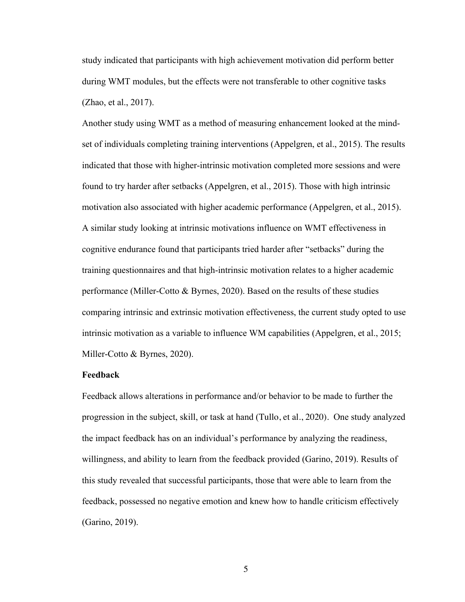study indicated that participants with high achievement motivation did perform better during WMT modules, but the effects were not transferable to other cognitive tasks (Zhao, et al., 2017).

Another study using WMT as a method of measuring enhancement looked at the mindset of individuals completing training interventions (Appelgren, et al., 2015). The results indicated that those with higher-intrinsic motivation completed more sessions and were found to try harder after setbacks (Appelgren, et al., 2015). Those with high intrinsic motivation also associated with higher academic performance (Appelgren, et al., 2015). A similar study looking at intrinsic motivations influence on WMT effectiveness in cognitive endurance found that participants tried harder after "setbacks" during the training questionnaires and that high-intrinsic motivation relates to a higher academic performance (Miller-Cotto & Byrnes, 2020). Based on the results of these studies comparing intrinsic and extrinsic motivation effectiveness, the current study opted to use intrinsic motivation as a variable to influence WM capabilities (Appelgren, et al., 2015; Miller-Cotto & Byrnes, 2020).

#### **Feedback**

Feedback allows alterations in performance and/or behavior to be made to further the progression in the subject, skill, or task at hand (Tullo, et al., 2020). One study analyzed the impact feedback has on an individual's performance by analyzing the readiness, willingness, and ability to learn from the feedback provided (Garino, 2019). Results of this study revealed that successful participants, those that were able to learn from the feedback, possessed no negative emotion and knew how to handle criticism effectively (Garino, 2019).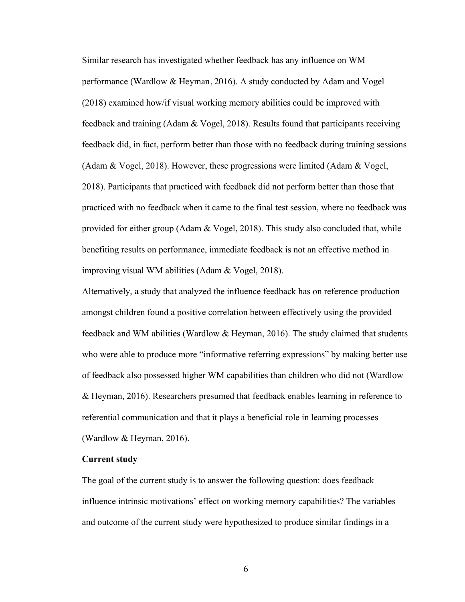Similar research has investigated whether feedback has any influence on WM performance (Wardlow & Heyman, 2016). A study conducted by Adam and Vogel (2018) examined how/if visual working memory abilities could be improved with feedback and training (Adam & Vogel, 2018). Results found that participants receiving feedback did, in fact, perform better than those with no feedback during training sessions (Adam & Vogel, 2018). However, these progressions were limited (Adam & Vogel, 2018). Participants that practiced with feedback did not perform better than those that practiced with no feedback when it came to the final test session, where no feedback was provided for either group (Adam  $& \text{Vogel}, 2018$ ). This study also concluded that, while benefiting results on performance, immediate feedback is not an effective method in improving visual WM abilities (Adam & Vogel, 2018).

Alternatively, a study that analyzed the influence feedback has on reference production amongst children found a positive correlation between effectively using the provided feedback and WM abilities (Wardlow & Heyman, 2016). The study claimed that students who were able to produce more "informative referring expressions" by making better use of feedback also possessed higher WM capabilities than children who did not (Wardlow & Heyman, 2016). Researchers presumed that feedback enables learning in reference to referential communication and that it plays a beneficial role in learning processes (Wardlow & Heyman, 2016).

### **Current study**

The goal of the current study is to answer the following question: does feedback influence intrinsic motivations' effect on working memory capabilities? The variables and outcome of the current study were hypothesized to produce similar findings in a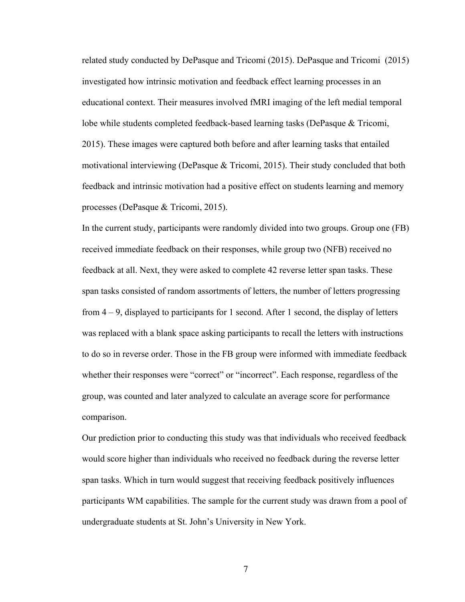related study conducted by DePasque and Tricomi (2015). DePasque and Tricomi (2015) investigated how intrinsic motivation and feedback effect learning processes in an educational context. Their measures involved fMRI imaging of the left medial temporal lobe while students completed feedback-based learning tasks (DePasque & Tricomi, 2015). These images were captured both before and after learning tasks that entailed motivational interviewing (DePasque & Tricomi, 2015). Their study concluded that both feedback and intrinsic motivation had a positive effect on students learning and memory processes (DePasque & Tricomi, 2015).

In the current study, participants were randomly divided into two groups. Group one (FB) received immediate feedback on their responses, while group two (NFB) received no feedback at all. Next, they were asked to complete 42 reverse letter span tasks. These span tasks consisted of random assortments of letters, the number of letters progressing from  $4 - 9$ , displayed to participants for 1 second. After 1 second, the display of letters was replaced with a blank space asking participants to recall the letters with instructions to do so in reverse order. Those in the FB group were informed with immediate feedback whether their responses were "correct" or "incorrect". Each response, regardless of the group, was counted and later analyzed to calculate an average score for performance comparison.

Our prediction prior to conducting this study was that individuals who received feedback would score higher than individuals who received no feedback during the reverse letter span tasks. Which in turn would suggest that receiving feedback positively influences participants WM capabilities. The sample for the current study was drawn from a pool of undergraduate students at St. John's University in New York.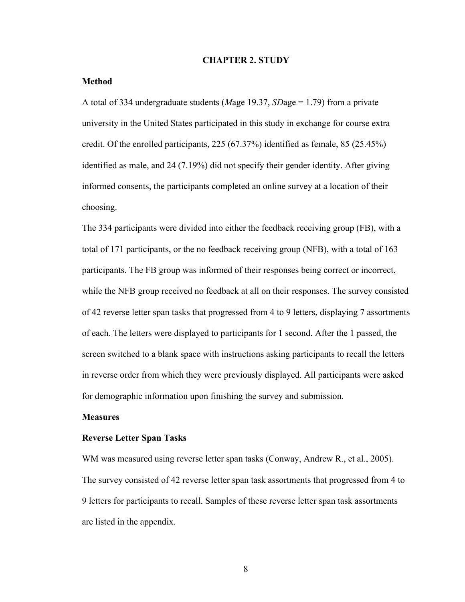#### **CHAPTER 2. STUDY**

#### **Method**

A total of 334 undergraduate students (*M*age 19.37, *SD*age = 1.79) from a private university in the United States participated in this study in exchange for course extra credit. Of the enrolled participants, 225 (67.37%) identified as female, 85 (25.45%) identified as male, and 24 (7.19%) did not specify their gender identity. After giving informed consents, the participants completed an online survey at a location of their choosing.

The 334 participants were divided into either the feedback receiving group (FB), with a total of 171 participants, or the no feedback receiving group (NFB), with a total of 163 participants. The FB group was informed of their responses being correct or incorrect, while the NFB group received no feedback at all on their responses. The survey consisted of 42 reverse letter span tasks that progressed from 4 to 9 letters, displaying 7 assortments of each. The letters were displayed to participants for 1 second. After the 1 passed, the screen switched to a blank space with instructions asking participants to recall the letters in reverse order from which they were previously displayed. All participants were asked for demographic information upon finishing the survey and submission.

#### **Measures**

#### **Reverse Letter Span Tasks**

WM was measured using reverse letter span tasks (Conway, Andrew R., et al., 2005). The survey consisted of 42 reverse letter span task assortments that progressed from 4 to 9 letters for participants to recall. Samples of these reverse letter span task assortments are listed in the appendix.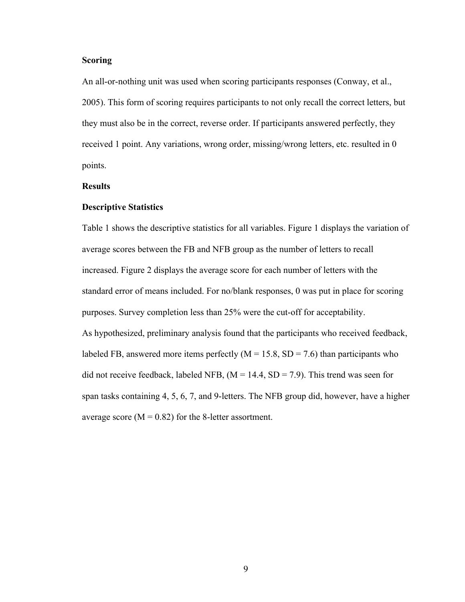#### **Scoring**

An all-or-nothing unit was used when scoring participants responses (Conway, et al., 2005). This form of scoring requires participants to not only recall the correct letters, but they must also be in the correct, reverse order. If participants answered perfectly, they received 1 point. Any variations, wrong order, missing/wrong letters, etc. resulted in 0 points.

#### **Results**

#### **Descriptive Statistics**

Table 1 shows the descriptive statistics for all variables. Figure 1 displays the variation of average scores between the FB and NFB group as the number of letters to recall increased. Figure 2 displays the average score for each number of letters with the standard error of means included. For no/blank responses, 0 was put in place for scoring purposes. Survey completion less than 25% were the cut-off for acceptability. As hypothesized, preliminary analysis found that the participants who received feedback, labeled FB, answered more items perfectly  $(M = 15.8, SD = 7.6)$  than participants who did not receive feedback, labeled NFB,  $(M = 14.4, SD = 7.9)$ . This trend was seen for span tasks containing 4, 5, 6, 7, and 9-letters. The NFB group did, however, have a higher average score ( $M = 0.82$ ) for the 8-letter assortment.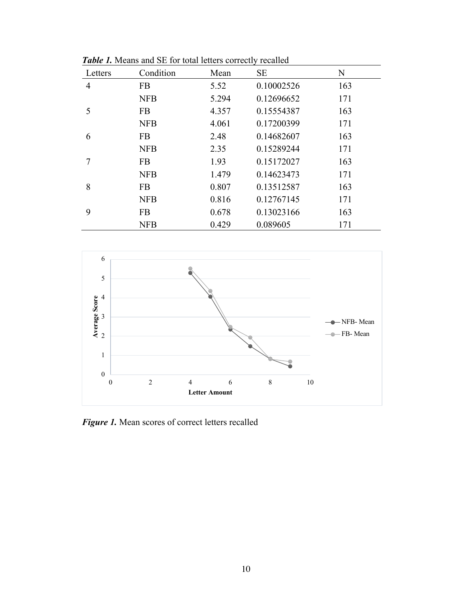| Letters | Condition  | Mean  | <b>SE</b>  | N   |
|---------|------------|-------|------------|-----|
| 4       | <b>FB</b>  | 5.52  | 0.10002526 | 163 |
|         | <b>NFB</b> | 5.294 | 0.12696652 | 171 |
| 5       | <b>FB</b>  | 4.357 | 0.15554387 | 163 |
|         | <b>NFB</b> | 4.061 | 0.17200399 | 171 |
| 6       | <b>FB</b>  | 2.48  | 0.14682607 | 163 |
|         | <b>NFB</b> | 2.35  | 0.15289244 | 171 |
|         | <b>FB</b>  | 1.93  | 0.15172027 | 163 |
|         | <b>NFB</b> | 1.479 | 0.14623473 | 171 |
| 8       | <b>FB</b>  | 0.807 | 0.13512587 | 163 |
|         | <b>NFB</b> | 0.816 | 0.12767145 | 171 |
| 9       | <b>FB</b>  | 0.678 | 0.13023166 | 163 |
|         | <b>NFB</b> | 0.429 | 0.089605   | 171 |

*Table 1.* Means and SE for total letters correctly recalled



*Figure 1.* Mean scores of correct letters recalled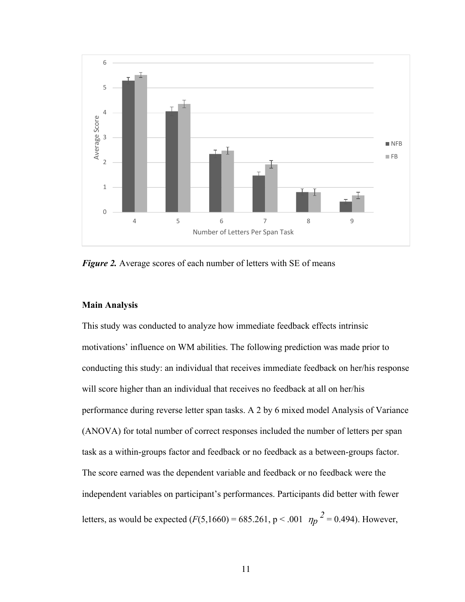

*Figure 2.* Average scores of each number of letters with SE of means

## **Main Analysis**

This study was conducted to analyze how immediate feedback effects intrinsic motivations' influence on WM abilities. The following prediction was made prior to conducting this study: an individual that receives immediate feedback on her/his response will score higher than an individual that receives no feedback at all on her/his performance during reverse letter span tasks. A 2 by 6 mixed model Analysis of Variance (ANOVA) for total number of correct responses included the number of letters per span task as a within-groups factor and feedback or no feedback as a between-groups factor. The score earned was the dependent variable and feedback or no feedback were the independent variables on participant's performances. Participants did better with fewer letters, as would be expected  $(F(5,1660) = 685.261, p < .001 \frac{p}{p^2} = 0.494)$ . However,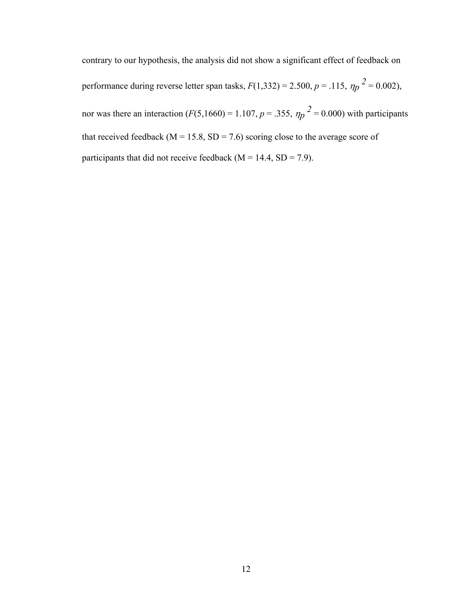contrary to our hypothesis, the analysis did not show a significant effect of feedback on performance during reverse letter span tasks,  $F(1,332) = 2.500$ ,  $p = .115$ ,  $\eta_p^2 = 0.002$ ), nor was there an interaction  $(F(5,1660) = 1.107, p = .355, \eta_p^2 = 0.000)$  with participants that received feedback ( $M = 15.8$ ,  $SD = 7.6$ ) scoring close to the average score of participants that did not receive feedback ( $M = 14.4$ ,  $SD = 7.9$ ).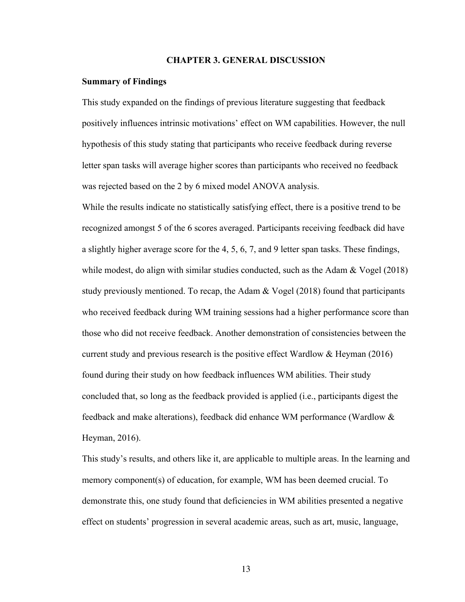#### **CHAPTER 3. GENERAL DISCUSSION**

#### **Summary of Findings**

This study expanded on the findings of previous literature suggesting that feedback positively influences intrinsic motivations' effect on WM capabilities. However, the null hypothesis of this study stating that participants who receive feedback during reverse letter span tasks will average higher scores than participants who received no feedback was rejected based on the 2 by 6 mixed model ANOVA analysis.

While the results indicate no statistically satisfying effect, there is a positive trend to be recognized amongst 5 of the 6 scores averaged. Participants receiving feedback did have a slightly higher average score for the 4, 5, 6, 7, and 9 letter span tasks. These findings, while modest, do align with similar studies conducted, such as the Adam & Vogel (2018) study previously mentioned. To recap, the Adam  $& \text{Vogel} (2018)$  found that participants who received feedback during WM training sessions had a higher performance score than those who did not receive feedback. Another demonstration of consistencies between the current study and previous research is the positive effect Wardlow & Heyman (2016) found during their study on how feedback influences WM abilities. Their study concluded that, so long as the feedback provided is applied (i.e., participants digest the feedback and make alterations), feedback did enhance WM performance (Wardlow & Heyman, 2016).

This study's results, and others like it, are applicable to multiple areas. In the learning and memory component(s) of education, for example, WM has been deemed crucial. To demonstrate this, one study found that deficiencies in WM abilities presented a negative effect on students' progression in several academic areas, such as art, music, language,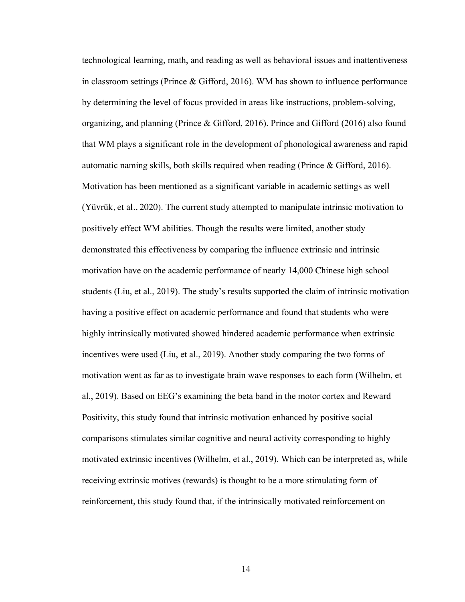technological learning, math, and reading as well as behavioral issues and inattentiveness in classroom settings (Prince & Gifford, 2016). WM has shown to influence performance by determining the level of focus provided in areas like instructions, problem-solving, organizing, and planning (Prince & Gifford, 2016). Prince and Gifford (2016) also found that WM plays a significant role in the development of phonological awareness and rapid automatic naming skills, both skills required when reading (Prince & Gifford, 2016). Motivation has been mentioned as a significant variable in academic settings as well (Yüvrük, et al., 2020). The current study attempted to manipulate intrinsic motivation to positively effect WM abilities. Though the results were limited, another study demonstrated this effectiveness by comparing the influence extrinsic and intrinsic motivation have on the academic performance of nearly 14,000 Chinese high school students (Liu, et al., 2019). The study's results supported the claim of intrinsic motivation having a positive effect on academic performance and found that students who were highly intrinsically motivated showed hindered academic performance when extrinsic incentives were used (Liu, et al., 2019). Another study comparing the two forms of motivation went as far as to investigate brain wave responses to each form (Wilhelm, et al., 2019). Based on EEG's examining the beta band in the motor cortex and Reward Positivity, this study found that intrinsic motivation enhanced by positive social comparisons stimulates similar cognitive and neural activity corresponding to highly motivated extrinsic incentives (Wilhelm, et al., 2019). Which can be interpreted as, while receiving extrinsic motives (rewards) is thought to be a more stimulating form of reinforcement, this study found that, if the intrinsically motivated reinforcement on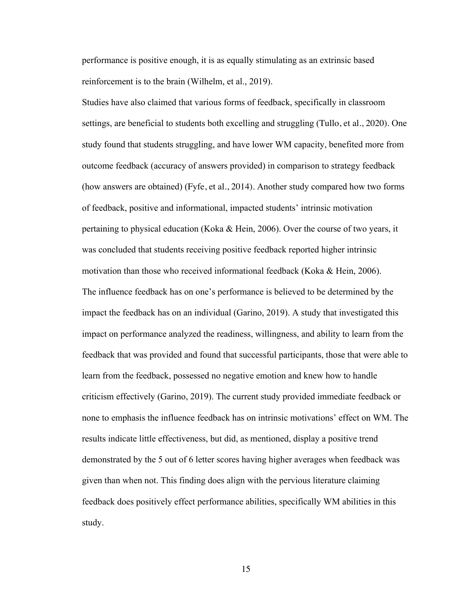performance is positive enough, it is as equally stimulating as an extrinsic based reinforcement is to the brain (Wilhelm, et al., 2019).

Studies have also claimed that various forms of feedback, specifically in classroom settings, are beneficial to students both excelling and struggling (Tullo, et al., 2020). One study found that students struggling, and have lower WM capacity, benefited more from outcome feedback (accuracy of answers provided) in comparison to strategy feedback (how answers are obtained) (Fyfe, et al., 2014). Another study compared how two forms of feedback, positive and informational, impacted students' intrinsic motivation pertaining to physical education (Koka & Hein, 2006). Over the course of two years, it was concluded that students receiving positive feedback reported higher intrinsic motivation than those who received informational feedback (Koka & Hein, 2006). The influence feedback has on one's performance is believed to be determined by the impact the feedback has on an individual (Garino, 2019). A study that investigated this impact on performance analyzed the readiness, willingness, and ability to learn from the feedback that was provided and found that successful participants, those that were able to learn from the feedback, possessed no negative emotion and knew how to handle criticism effectively (Garino, 2019). The current study provided immediate feedback or none to emphasis the influence feedback has on intrinsic motivations' effect on WM. The results indicate little effectiveness, but did, as mentioned, display a positive trend demonstrated by the 5 out of 6 letter scores having higher averages when feedback was given than when not. This finding does align with the pervious literature claiming feedback does positively effect performance abilities, specifically WM abilities in this study.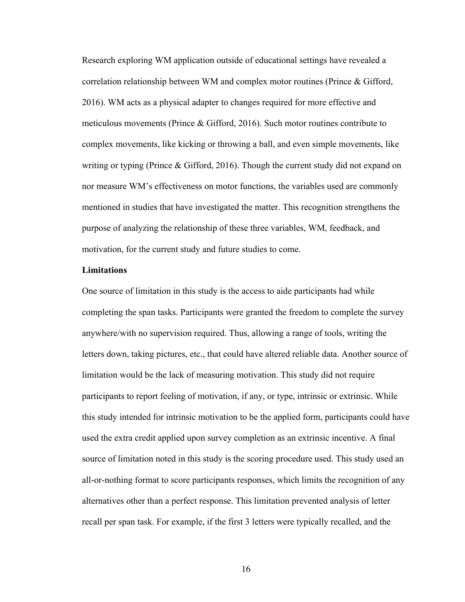Research exploring WM application outside of educational settings have revealed a correlation relationship between WM and complex motor routines (Prince & Gifford, 2016). WM acts as a physical adapter to changes required for more effective and meticulous movements (Prince & Gifford, 2016). Such motor routines contribute to complex movements, like kicking or throwing a ball, and even simple movements, like writing or typing (Prince & Gifford, 2016). Though the current study did not expand on nor measure WM's effectiveness on motor functions, the variables used are commonly mentioned in studies that have investigated the matter. This recognition strengthens the purpose of analyzing the relationship of these three variables, WM, feedback, and motivation, for the current study and future studies to come.

### **Limitations**

One source of limitation in this study is the access to aide participants had while completing the span tasks. Participants were granted the freedom to complete the survey anywhere/with no supervision required. Thus, allowing a range of tools, writing the letters down, taking pictures, etc., that could have altered reliable data. Another source of limitation would be the lack of measuring motivation. This study did not require participants to report feeling of motivation, if any, or type, intrinsic or extrinsic. While this study intended for intrinsic motivation to be the applied form, participants could have used the extra credit applied upon survey completion as an extrinsic incentive. A final source of limitation noted in this study is the scoring procedure used. This study used an all-or-nothing format to score participants responses, which limits the recognition of any alternatives other than a perfect response. This limitation prevented analysis of letter recall per span task. For example, if the first 3 letters were typically recalled, and the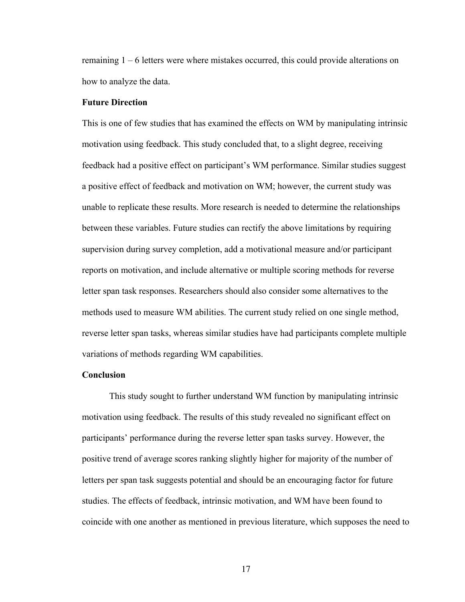remaining 1 – 6 letters were where mistakes occurred, this could provide alterations on how to analyze the data.

#### **Future Direction**

This is one of few studies that has examined the effects on WM by manipulating intrinsic motivation using feedback. This study concluded that, to a slight degree, receiving feedback had a positive effect on participant's WM performance. Similar studies suggest a positive effect of feedback and motivation on WM; however, the current study was unable to replicate these results. More research is needed to determine the relationships between these variables. Future studies can rectify the above limitations by requiring supervision during survey completion, add a motivational measure and/or participant reports on motivation, and include alternative or multiple scoring methods for reverse letter span task responses. Researchers should also consider some alternatives to the methods used to measure WM abilities. The current study relied on one single method, reverse letter span tasks, whereas similar studies have had participants complete multiple variations of methods regarding WM capabilities.

#### **Conclusion**

This study sought to further understand WM function by manipulating intrinsic motivation using feedback. The results of this study revealed no significant effect on participants' performance during the reverse letter span tasks survey. However, the positive trend of average scores ranking slightly higher for majority of the number of letters per span task suggests potential and should be an encouraging factor for future studies. The effects of feedback, intrinsic motivation, and WM have been found to coincide with one another as mentioned in previous literature, which supposes the need to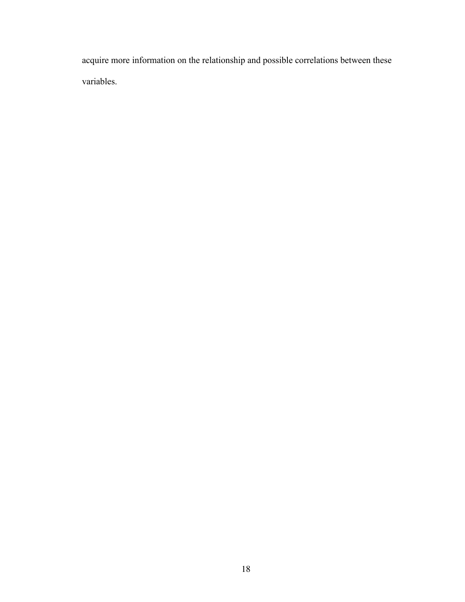acquire more information on the relationship and possible correlations between these variables.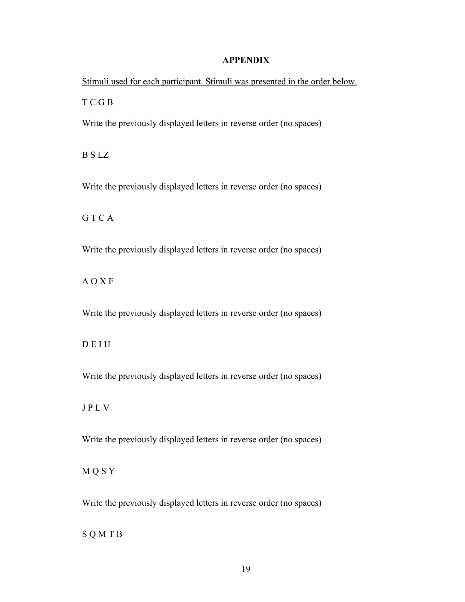## **APPENDIX**

Stimuli used for each participant. Stimuli was presented in the order below. T C G B Write the previously displayed letters in reverse order (no spaces) B S LZ Write the previously displayed letters in reverse order (no spaces) G T C A

Write the previously displayed letters in reverse order (no spaces)

A O X F

Write the previously displayed letters in reverse order (no spaces)

D E I H

Write the previously displayed letters in reverse order (no spaces)

J P L V

Write the previously displayed letters in reverse order (no spaces)

M Q S Y

Write the previously displayed letters in reverse order (no spaces)

S Q M T B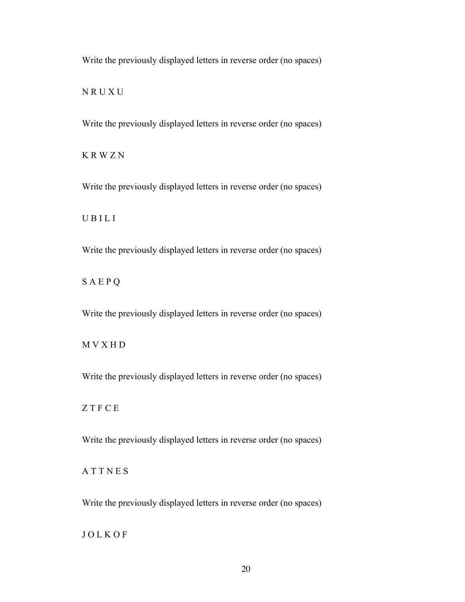N R U X U

Write the previously displayed letters in reverse order (no spaces)

K R W Z N

Write the previously displayed letters in reverse order (no spaces)

U B I L I

Write the previously displayed letters in reverse order (no spaces)

S A E P Q

Write the previously displayed letters in reverse order (no spaces)

M V X H D

Write the previously displayed letters in reverse order (no spaces)

Z T F C E

Write the previously displayed letters in reverse order (no spaces)

A T T N E S

Write the previously displayed letters in reverse order (no spaces)

J O L K O F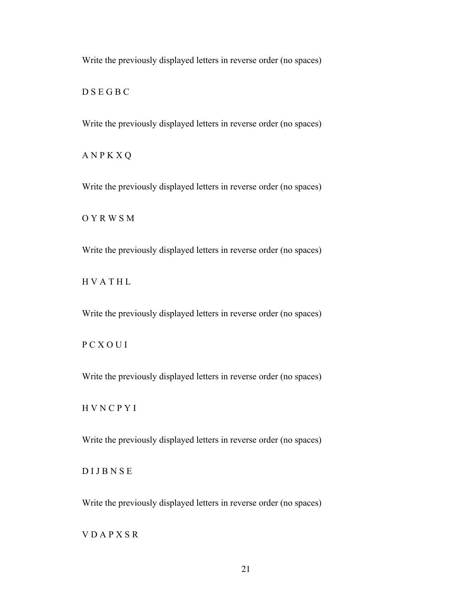D S E G B C

Write the previously displayed letters in reverse order (no spaces)

A N P K X Q

Write the previously displayed letters in reverse order (no spaces)

O Y R W S M

Write the previously displayed letters in reverse order (no spaces)

H V A T H L

Write the previously displayed letters in reverse order (no spaces)

P C X O U I

Write the previously displayed letters in reverse order (no spaces)

H V N C P Y I

Write the previously displayed letters in reverse order (no spaces)

D I J B N S E

Write the previously displayed letters in reverse order (no spaces)

V D A P X S R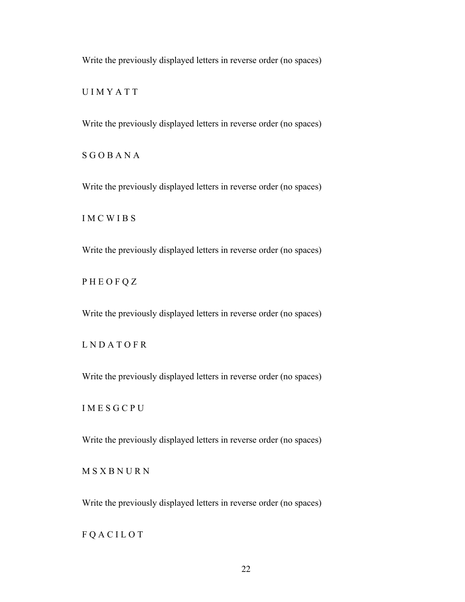U I M Y A T T

Write the previously displayed letters in reverse order (no spaces)

S G O B A N A

Write the previously displayed letters in reverse order (no spaces)

I M C W I B S

Write the previously displayed letters in reverse order (no spaces)

P H E O F Q Z

Write the previously displayed letters in reverse order (no spaces)

L N D A T O F R

Write the previously displayed letters in reverse order (no spaces)

I M E S G C P U

Write the previously displayed letters in reverse order (no spaces)

M S X B N U R N

Write the previously displayed letters in reverse order (no spaces)

F Q A C I L O T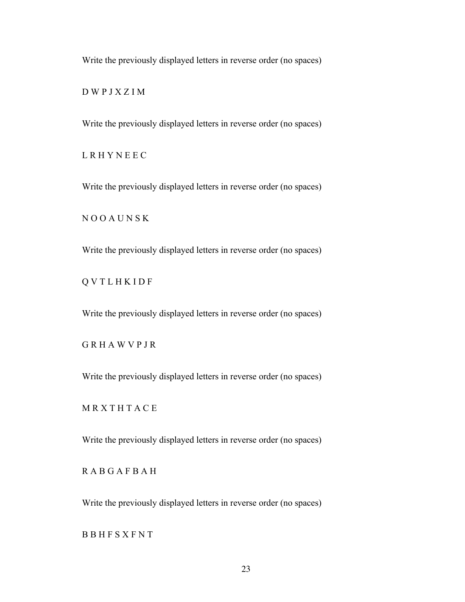D W P J X Z I M

Write the previously displayed letters in reverse order (no spaces)

L R H Y N E E C

Write the previously displayed letters in reverse order (no spaces)

N O O A U N S K

Write the previously displayed letters in reverse order (no spaces)

Q V T L H K I D F

Write the previously displayed letters in reverse order (no spaces)

G R H A W V P J R

Write the previously displayed letters in reverse order (no spaces)

**MRXTHTACE** 

Write the previously displayed letters in reverse order (no spaces)

R A B G A F B A H

Write the previously displayed letters in reverse order (no spaces)

B B H F S X F N T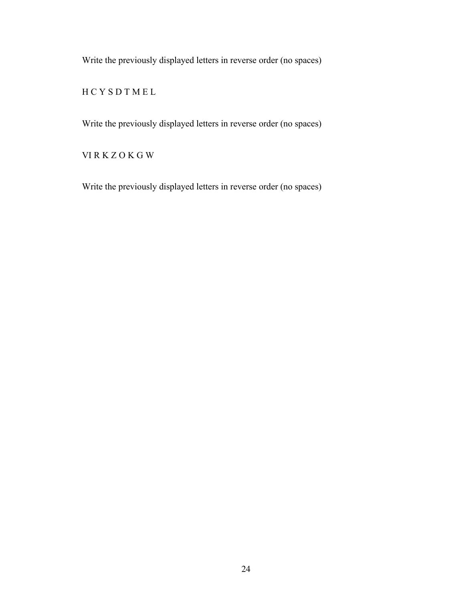H C Y S D T M E L

Write the previously displayed letters in reverse order (no spaces)

VI R K Z O K G W

Write the previously displayed letters in reverse order (no spaces)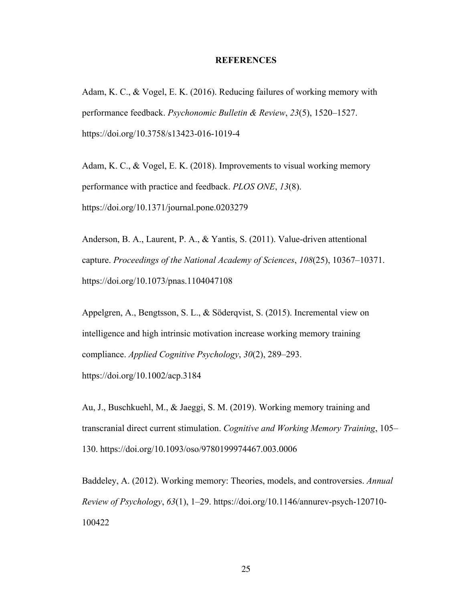#### **REFERENCES**

Adam, K. C., & Vogel, E. K. (2016). Reducing failures of working memory with performance feedback. *Psychonomic Bulletin & Review*, *23*(5), 1520–1527. https://doi.org/10.3758/s13423-016-1019-4

Adam, K. C., & Vogel, E. K. (2018). Improvements to visual working memory performance with practice and feedback. *PLOS ONE*, *13*(8). https://doi.org/10.1371/journal.pone.0203279

Anderson, B. A., Laurent, P. A., & Yantis, S. (2011). Value-driven attentional capture. *Proceedings of the National Academy of Sciences*, *108*(25), 10367–10371. https://doi.org/10.1073/pnas.1104047108

Appelgren, A., Bengtsson, S. L., & Söderqvist, S. (2015). Incremental view on intelligence and high intrinsic motivation increase working memory training compliance. *Applied Cognitive Psychology*, *30*(2), 289–293. https://doi.org/10.1002/acp.3184

Au, J., Buschkuehl, M., & Jaeggi, S. M. (2019). Working memory training and transcranial direct current stimulation. *Cognitive and Working Memory Training*, 105– 130. https://doi.org/10.1093/oso/9780199974467.003.0006

Baddeley, A. (2012). Working memory: Theories, models, and controversies. *Annual Review of Psychology*, *63*(1), 1–29. https://doi.org/10.1146/annurev-psych-120710- 100422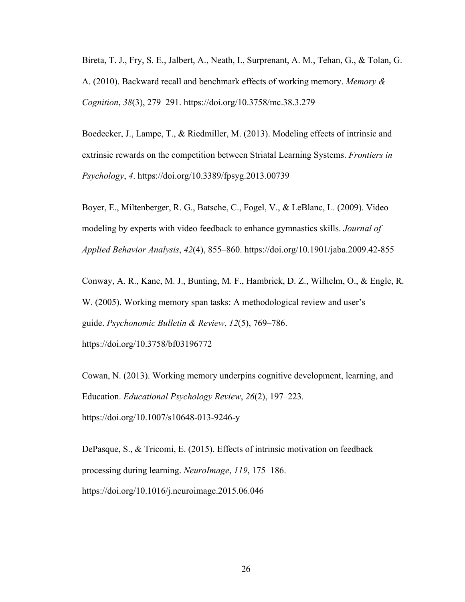Bireta, T. J., Fry, S. E., Jalbert, A., Neath, I., Surprenant, A. M., Tehan, G., & Tolan, G. A. (2010). Backward recall and benchmark effects of working memory. *Memory & Cognition*, *38*(3), 279–291. https://doi.org/10.3758/mc.38.3.279

Boedecker, J., Lampe, T., & Riedmiller, M. (2013). Modeling effects of intrinsic and extrinsic rewards on the competition between Striatal Learning Systems. *Frontiers in Psychology*, *4*. https://doi.org/10.3389/fpsyg.2013.00739

Boyer, E., Miltenberger, R. G., Batsche, C., Fogel, V., & LeBlanc, L. (2009). Video modeling by experts with video feedback to enhance gymnastics skills. *Journal of Applied Behavior Analysis*, *42*(4), 855–860. https://doi.org/10.1901/jaba.2009.42-855

Conway, A. R., Kane, M. J., Bunting, M. F., Hambrick, D. Z., Wilhelm, O., & Engle, R. W. (2005). Working memory span tasks: A methodological review and user's guide. *Psychonomic Bulletin & Review*, *12*(5), 769–786. https://doi.org/10.3758/bf03196772

Cowan, N. (2013). Working memory underpins cognitive development, learning, and Education. *Educational Psychology Review*, *26*(2), 197–223. https://doi.org/10.1007/s10648-013-9246-y

DePasque, S., & Tricomi, E. (2015). Effects of intrinsic motivation on feedback processing during learning. *NeuroImage*, *119*, 175–186. https://doi.org/10.1016/j.neuroimage.2015.06.046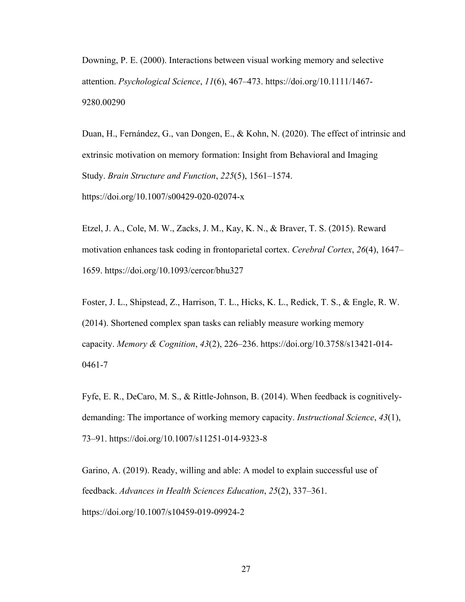Downing, P. E. (2000). Interactions between visual working memory and selective attention. *Psychological Science*, *11*(6), 467–473. https://doi.org/10.1111/1467- 9280.00290

Duan, H., Fernández, G., van Dongen, E., & Kohn, N. (2020). The effect of intrinsic and extrinsic motivation on memory formation: Insight from Behavioral and Imaging Study. *Brain Structure and Function*, *225*(5), 1561–1574. https://doi.org/10.1007/s00429-020-02074-x

Etzel, J. A., Cole, M. W., Zacks, J. M., Kay, K. N., & Braver, T. S. (2015). Reward motivation enhances task coding in frontoparietal cortex. *Cerebral Cortex*, *26*(4), 1647– 1659. https://doi.org/10.1093/cercor/bhu327

Foster, J. L., Shipstead, Z., Harrison, T. L., Hicks, K. L., Redick, T. S., & Engle, R. W. (2014). Shortened complex span tasks can reliably measure working memory capacity. *Memory & Cognition*, *43*(2), 226–236. https://doi.org/10.3758/s13421-014- 0461-7

Fyfe, E. R., DeCaro, M. S., & Rittle-Johnson, B. (2014). When feedback is cognitivelydemanding: The importance of working memory capacity. *Instructional Science*, *43*(1), 73–91. https://doi.org/10.1007/s11251-014-9323-8

Garino, A. (2019). Ready, willing and able: A model to explain successful use of feedback. *Advances in Health Sciences Education*, *25*(2), 337–361. https://doi.org/10.1007/s10459-019-09924-2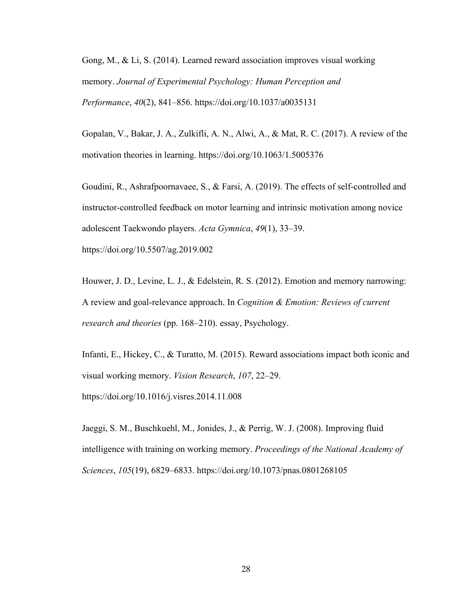Gong, M., & Li, S. (2014). Learned reward association improves visual working memory. *Journal of Experimental Psychology: Human Perception and Performance*, *40*(2), 841–856. https://doi.org/10.1037/a0035131

Gopalan, V., Bakar, J. A., Zulkifli, A. N., Alwi, A., & Mat, R. C. (2017). A review of the motivation theories in learning. https://doi.org/10.1063/1.5005376

Goudini, R., Ashrafpoornavaee, S., & Farsi, A. (2019). The effects of self-controlled and instructor-controlled feedback on motor learning and intrinsic motivation among novice adolescent Taekwondo players. *Acta Gymnica*, *49*(1), 33–39.

https://doi.org/10.5507/ag.2019.002

Houwer, J. D., Levine, L. J., & Edelstein, R. S. (2012). Emotion and memory narrowing: A review and goal-relevance approach. In *Cognition & Emotion: Reviews of current research and theories* (pp. 168–210). essay, Psychology.

Infanti, E., Hickey, C., & Turatto, M. (2015). Reward associations impact both iconic and visual working memory. *Vision Research*, *107*, 22–29. https://doi.org/10.1016/j.visres.2014.11.008

Jaeggi, S. M., Buschkuehl, M., Jonides, J., & Perrig, W. J. (2008). Improving fluid intelligence with training on working memory. *Proceedings of the National Academy of Sciences*, *105*(19), 6829–6833. https://doi.org/10.1073/pnas.0801268105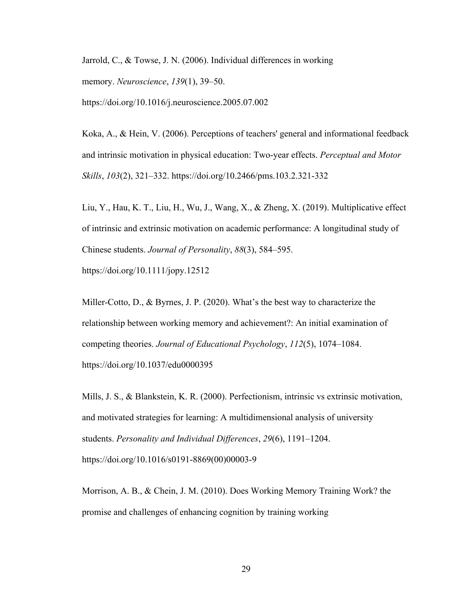Jarrold, C., & Towse, J. N. (2006). Individual differences in working memory. *Neuroscience*, *139*(1), 39–50.

https://doi.org/10.1016/j.neuroscience.2005.07.002

Koka, A., & Hein, V. (2006). Perceptions of teachers' general and informational feedback and intrinsic motivation in physical education: Two-year effects. *Perceptual and Motor Skills*, *103*(2), 321–332. https://doi.org/10.2466/pms.103.2.321-332

Liu, Y., Hau, K. T., Liu, H., Wu, J., Wang, X., & Zheng, X. (2019). Multiplicative effect of intrinsic and extrinsic motivation on academic performance: A longitudinal study of Chinese students. *Journal of Personality*, *88*(3), 584–595.

https://doi.org/10.1111/jopy.12512

Miller-Cotto, D., & Byrnes, J. P. (2020). What's the best way to characterize the relationship between working memory and achievement?: An initial examination of competing theories. *Journal of Educational Psychology*, *112*(5), 1074–1084. https://doi.org/10.1037/edu0000395

Mills, J. S., & Blankstein, K. R. (2000). Perfectionism, intrinsic vs extrinsic motivation, and motivated strategies for learning: A multidimensional analysis of university students. *Personality and Individual Differences*, *29*(6), 1191–1204. https://doi.org/10.1016/s0191-8869(00)00003-9

Morrison, A. B., & Chein, J. M. (2010). Does Working Memory Training Work? the promise and challenges of enhancing cognition by training working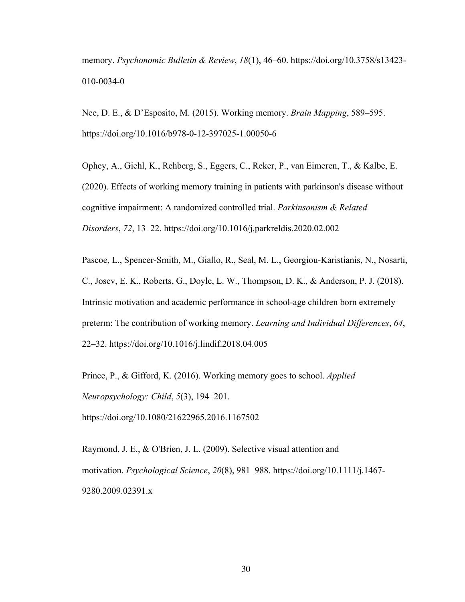memory. *Psychonomic Bulletin & Review*, *18*(1), 46–60. https://doi.org/10.3758/s13423- 010-0034-0

Nee, D. E., & D'Esposito, M. (2015). Working memory. *Brain Mapping*, 589–595. https://doi.org/10.1016/b978-0-12-397025-1.00050-6

Ophey, A., Giehl, K., Rehberg, S., Eggers, C., Reker, P., van Eimeren, T., & Kalbe, E. (2020). Effects of working memory training in patients with parkinson's disease without cognitive impairment: A randomized controlled trial. *Parkinsonism & Related Disorders*, *72*, 13–22. https://doi.org/10.1016/j.parkreldis.2020.02.002

Pascoe, L., Spencer-Smith, M., Giallo, R., Seal, M. L., Georgiou-Karistianis, N., Nosarti, C., Josev, E. K., Roberts, G., Doyle, L. W., Thompson, D. K., & Anderson, P. J. (2018). Intrinsic motivation and academic performance in school-age children born extremely preterm: The contribution of working memory. *Learning and Individual Differences*, *64*, 22–32. https://doi.org/10.1016/j.lindif.2018.04.005

Prince, P., & Gifford, K. (2016). Working memory goes to school. *Applied Neuropsychology: Child*, *5*(3), 194–201.

https://doi.org/10.1080/21622965.2016.1167502

Raymond, J. E., & O'Brien, J. L. (2009). Selective visual attention and motivation. *Psychological Science*, *20*(8), 981–988. https://doi.org/10.1111/j.1467- 9280.2009.02391.x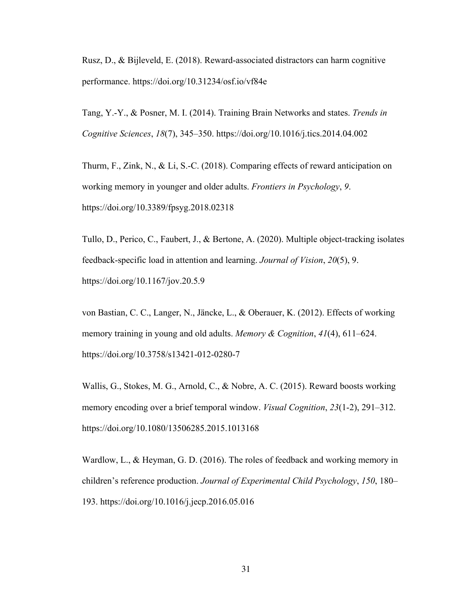Rusz, D., & Bijleveld, E. (2018). Reward-associated distractors can harm cognitive performance. https://doi.org/10.31234/osf.io/vf84e

Tang, Y.-Y., & Posner, M. I. (2014). Training Brain Networks and states. *Trends in Cognitive Sciences*, *18*(7), 345–350. https://doi.org/10.1016/j.tics.2014.04.002

Thurm, F., Zink, N., & Li, S.-C. (2018). Comparing effects of reward anticipation on working memory in younger and older adults. *Frontiers in Psychology*, *9*. https://doi.org/10.3389/fpsyg.2018.02318

Tullo, D., Perico, C., Faubert, J., & Bertone, A. (2020). Multiple object-tracking isolates feedback-specific load in attention and learning. *Journal of Vision*, *20*(5), 9. https://doi.org/10.1167/jov.20.5.9

von Bastian, C. C., Langer, N., Jäncke, L., & Oberauer, K. (2012). Effects of working memory training in young and old adults. *Memory & Cognition*, *41*(4), 611–624. https://doi.org/10.3758/s13421-012-0280-7

Wallis, G., Stokes, M. G., Arnold, C., & Nobre, A. C. (2015). Reward boosts working memory encoding over a brief temporal window. *Visual Cognition*, *23*(1-2), 291–312. https://doi.org/10.1080/13506285.2015.1013168

Wardlow, L., & Heyman, G. D. (2016). The roles of feedback and working memory in children's reference production. *Journal of Experimental Child Psychology*, *150*, 180– 193. https://doi.org/10.1016/j.jecp.2016.05.016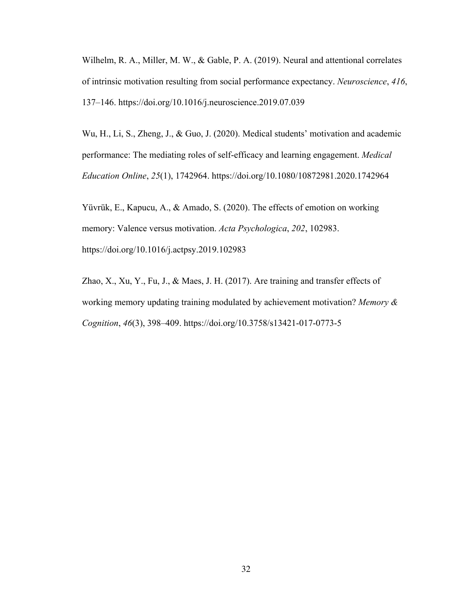Wilhelm, R. A., Miller, M. W., & Gable, P. A. (2019). Neural and attentional correlates of intrinsic motivation resulting from social performance expectancy. *Neuroscience*, *416*, 137–146. https://doi.org/10.1016/j.neuroscience.2019.07.039

Wu, H., Li, S., Zheng, J., & Guo, J. (2020). Medical students' motivation and academic performance: The mediating roles of self-efficacy and learning engagement. *Medical Education Online*, *25*(1), 1742964. https://doi.org/10.1080/10872981.2020.1742964

Yüvrük, E., Kapucu, A., & Amado, S. (2020). The effects of emotion on working memory: Valence versus motivation. *Acta Psychologica*, *202*, 102983. https://doi.org/10.1016/j.actpsy.2019.102983

Zhao, X., Xu, Y., Fu, J., & Maes, J. H. (2017). Are training and transfer effects of working memory updating training modulated by achievement motivation? *Memory & Cognition*, *46*(3), 398–409. https://doi.org/10.3758/s13421-017-0773-5